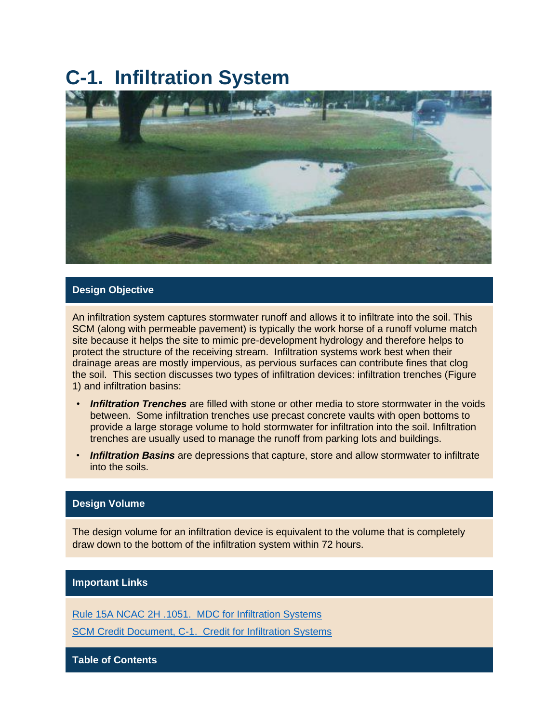# **C-1. Infiltration System**



#### **Design Objective**

An infiltration system captures stormwater runoff and allows it to infiltrate into the soil. This SCM (along with permeable pavement) is typically the work horse of a runoff volume match site because it helps the site to mimic pre-development hydrology and therefore helps to protect the structure of the receiving stream. Infiltration systems work best when their drainage areas are mostly impervious, as pervious surfaces can contribute fines that clog the soil. This section discusses two types of infiltration devices: infiltration trenches (Figure 1) and infiltration basins:

- *Infiltration Trenches* are filled with stone or other media to store stormwater in the voids between. Some infiltration trenches use precast concrete vaults with open bottoms to provide a large storage volume to hold stormwater for infiltration into the soil. Infiltration trenches are usually used to manage the runoff from parking lots and buildings.
- *Infiltration Basins* are depressions that capture, store and allow stormwater to infiltrate into the soils.

#### **Design Volume**

The design volume for an infiltration device is equivalent to the volume that is completely draw down to the bottom of the infiltration system within 72 hours.

#### **Important Links**

[Rule 15A NCAC 2H .1051. MDC for Infiltration Systems](http://reports.oah.state.nc.us/ncac/title%2015a%20-%20environmental%20quality/chapter%2002%20-%20environmental%20management/subchapter%20h/15a%20ncac%2002h%20.1051.pdf)

[SCM Credit Document, C-1. Credit for Infiltration Systems](https://files.nc.gov/ncdeq/Energy%20Mineral%20and%20Land%20Resources/Stormwater/BMP%20Manual/SSW-SCM-Credit-Doc-20170807.pdf)

**Table of Contents**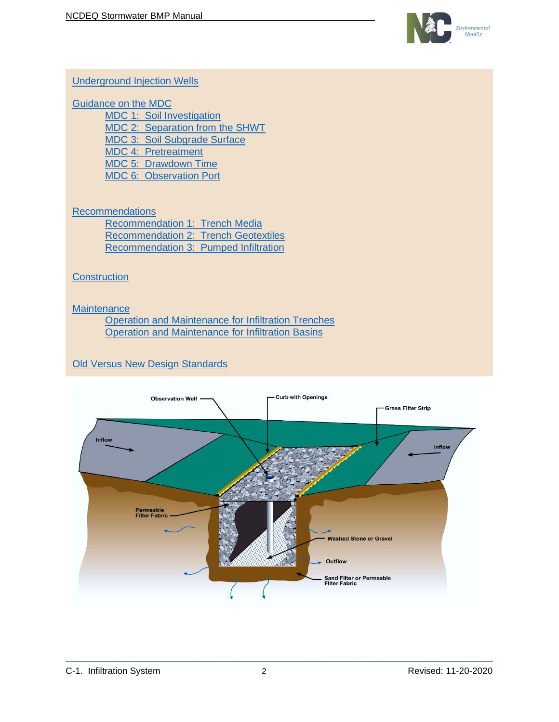

#### [Underground Injection Wells](#page-2-0)

#### [Guidance on the MDC](#page-4-0)

[MDC 1: Soil Investigation](#page-4-1) [MDC 2: Separation from the SHWT](#page-5-0) [MDC 3: Soil Subgrade Surface](#page-5-1) MDC 4: Pretreatment [MDC 5: Drawdown Time](#page-5-2) [MDC 6: Observation Port](#page-6-0)

### **[Recommendations](#page-6-1)**

[Recommendation 1: Trench Media](#page-6-2) [Recommendation 2: Trench Geotextiles](#page-7-0) [Recommendation 3: Pumped Infiltration](#page-7-1)

#### **[Construction](#page-8-0)**

#### **[Maintenance](#page-9-0)**

[Operation and Maintenance](#page-9-1) for Infiltration Trenches [Operation and Maintenance for Infiltration Basins](#page-11-0)

# [Old Versus New Design Standards](#page-13-0)

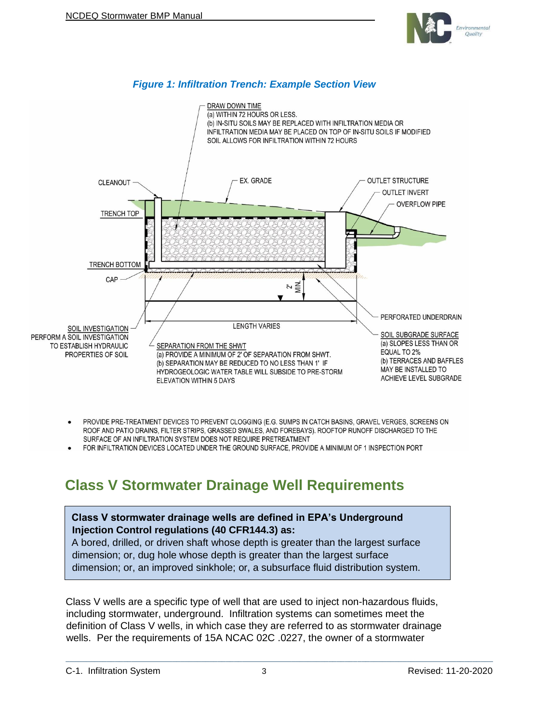

#### *Figure 1: Infiltration Trench: Example Section View*



- PROVIDE PRE-TREATMENT DEVICES TO PREVENT CLOGGING (E.G. SUMPS IN CATCH BASINS, GRAVEL VERGES, SCREENS ON ROOF AND PATIO DRAINS, FILTER STRIPS, GRASSED SWALES, AND FOREBAYS). ROOFTOP RUNOFF DISCHARGED TO THE SURFACE OF AN INFILTRATION SYSTEM DOES NOT REQUIRE PRETREATMENT
- FOR INFILTRATION DEVICES LOCATED UNDER THE GROUND SURFACE, PROVIDE A MINIMUM OF 1 INSPECTION PORT

# <span id="page-2-0"></span>**Class V Stormwater Drainage Well Requirements**

#### **Class V stormwater drainage wells are defined in EPA's Underground Injection Control regulations (40 CFR144.3) as:**

A bored, drilled, or driven shaft whose depth is greater than the largest surface dimension; or, dug hole whose depth is greater than the largest surface dimension; or, an improved sinkhole; or, a subsurface fluid distribution system.

Class V wells are a specific type of well that are used to inject non-hazardous fluids, including stormwater, underground. Infiltration systems can sometimes meet the definition of Class V wells, in which case they are referred to as stormwater drainage wells. Per the requirements of 15A NCAC 02C .0227, the owner of a stormwater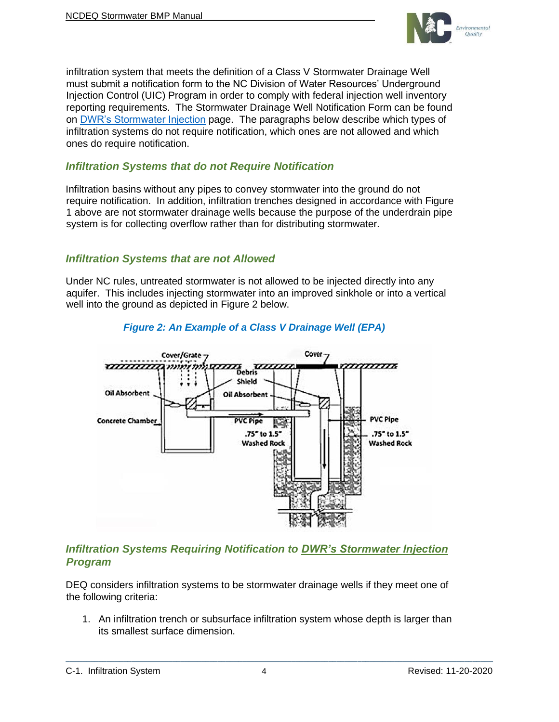

infiltration system that meets the definition of a Class V Stormwater Drainage Well must submit a notification form to the NC Division of Water Resources' Underground Injection Control (UIC) Program in order to comply with federal injection well inventory reporting requirements. The Stormwater Drainage Well Notification Form can be found on [DWR's Stormwater Injection](https://deq.nc.gov/about/divisions/water-resources/water-resources-permits/wastewater-branch/ground-water-protection/stormwater-injection) page. The paragraphs below describe which types of infiltration systems do not require notification, which ones are not allowed and which ones do require notification.

### *Infiltration Systems that do not Require Notification*

Infiltration basins without any pipes to convey stormwater into the ground do not require notification. In addition, infiltration trenches designed in accordance with Figure 1 above are not stormwater drainage wells because the purpose of the underdrain pipe system is for collecting overflow rather than for distributing stormwater.

#### *Infiltration Systems that are not Allowed*

Under NC rules, untreated stormwater is not allowed to be injected directly into any aquifer. This includes injecting stormwater into an improved sinkhole or into a vertical well into the ground as depicted in Figure 2 below.



### *Figure 2: An Example of a Class V Drainage Well (EPA)*

# *Infiltration Systems Requiring Notification to [DWR's Stormwater Injection](https://deq.nc.gov/about/divisions/water-resources/water-resources-permits/wastewater-branch/ground-water-protection/stormwater-injection) Program*

DEQ considers infiltration systems to be stormwater drainage wells if they meet one of the following criteria:

1. An infiltration trench or subsurface infiltration system whose depth is larger than its smallest surface dimension.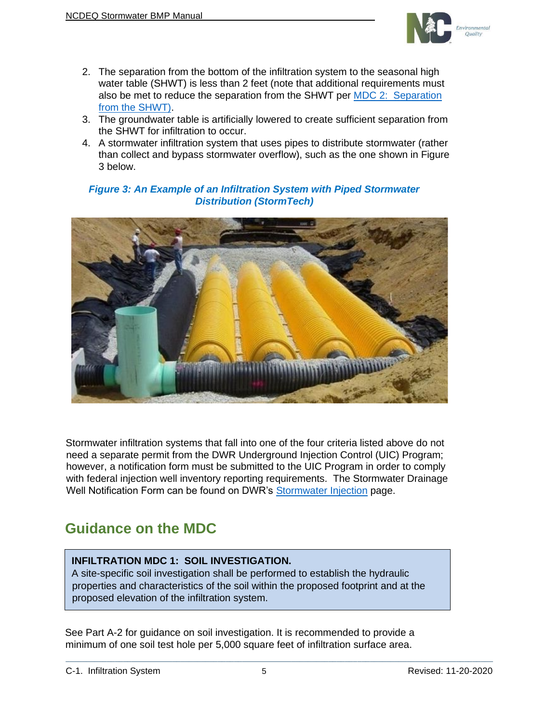

- 2. The separation from the bottom of the infiltration system to the seasonal high water table (SHWT) is less than 2 feet (note that additional requirements must also be met to reduce the separation from the SHWT per [MDC 2: Separation](#page-5-0)  [from the SHWT\)](#page-5-0).
- 3. The groundwater table is artificially lowered to create sufficient separation from the SHWT for infiltration to occur.
- 4. A stormwater infiltration system that uses pipes to distribute stormwater (rather than collect and bypass stormwater overflow), such as the one shown in Figure 3 below.

#### *Figure 3: An Example of an Infiltration System with Piped Stormwater Distribution (StormTech)*



Stormwater infiltration systems that fall into one of the four criteria listed above do not need a separate permit from the DWR Underground Injection Control (UIC) Program; however, a notification form must be submitted to the UIC Program in order to comply with federal injection well inventory reporting requirements. The Stormwater Drainage Well Notification Form can be found on DWR's [Stormwater Injection](https://deq.nc.gov/about/divisions/water-resources/water-resources-permits/wastewater-branch/ground-water-protection/stormwater-injection) page.

# <span id="page-4-0"></span>**Guidance on the MDC**

#### <span id="page-4-1"></span>**INFILTRATION MDC 1: SOIL INVESTIGATION.**

A site-specific soil investigation shall be performed to establish the hydraulic properties and characteristics of the soil within the proposed footprint and at the proposed elevation of the infiltration system.

See Part A-2 for guidance on soil investigation. It is recommended to provide a minimum of one soil test hole per 5,000 square feet of infiltration surface area.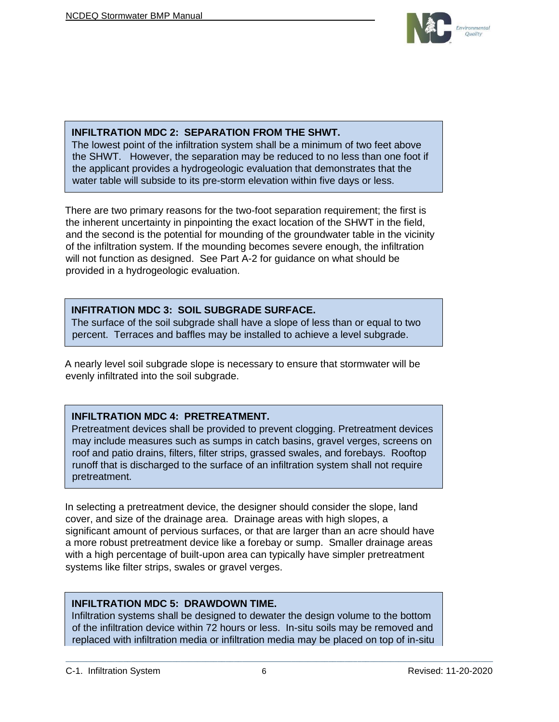

#### <span id="page-5-0"></span>**INFILTRATION MDC 2: SEPARATION FROM THE SHWT.**

The lowest point of the infiltration system shall be a minimum of two feet above the SHWT. However, the separation may be reduced to no less than one foot if the applicant provides a hydrogeologic evaluation that demonstrates that the water table will subside to its pre-storm elevation within five days or less.

There are two primary reasons for the two-foot separation requirement; the first is the inherent uncertainty in pinpointing the exact location of the SHWT in the field, and the second is the potential for mounding of the groundwater table in the vicinity of the infiltration system. If the mounding becomes severe enough, the infiltration will not function as designed. See Part A-2 for guidance on what should be provided in a hydrogeologic evaluation.

#### <span id="page-5-1"></span>**INFITRATION MDC 3: SOIL SUBGRADE SURFACE.**

The surface of the soil subgrade shall have a slope of less than or equal to two percent. Terraces and baffles may be installed to achieve a level subgrade.

A nearly level soil subgrade slope is necessary to ensure that stormwater will be evenly infiltrated into the soil subgrade.

# **INFILTRATION MDC 4: PRETREATMENT.**

Pretreatment devices shall be provided to prevent clogging. Pretreatment devices may include measures such as sumps in catch basins, gravel verges, screens on roof and patio drains, filters, filter strips, grassed swales, and forebays. Rooftop runoff that is discharged to the surface of an infiltration system shall not require pretreatment.

In selecting a pretreatment device, the designer should consider the slope, land cover, and size of the drainage area. Drainage areas with high slopes, a significant amount of pervious surfaces, or that are larger than an acre should have a more robust pretreatment device like a forebay or sump. Smaller drainage areas with a high percentage of built-upon area can typically have simpler pretreatment systems like filter strips, swales or gravel verges.

#### <span id="page-5-2"></span>**INFILTRATION MDC 5: DRAWDOWN TIME.**

Infiltration systems shall be designed to dewater the design volume to the bottom of the infiltration device within 72 hours or less. In-situ soils may be removed and replaced with infiltration media or infiltration media may be placed on top of in-situ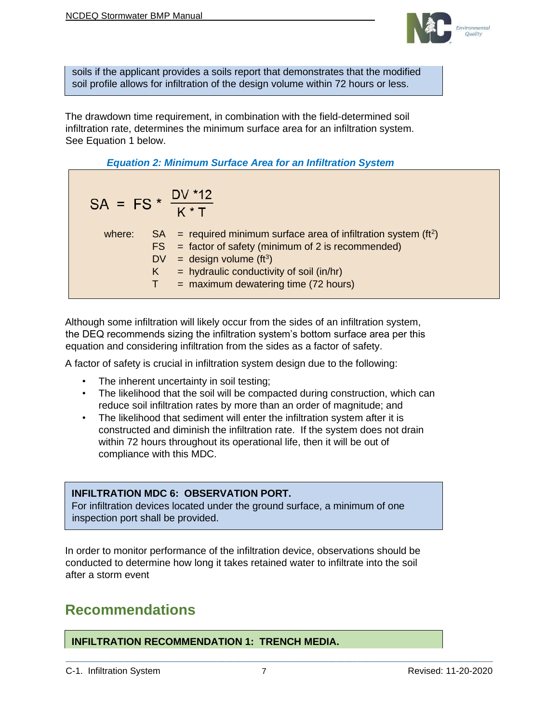

soils if the applicant provides a soils report that demonstrates that the modified soil profile allows for infiltration of the design volume within 72 hours or less.

The drawdown time requirement, in combination with the field-determined soil infiltration rate, determines the minimum surface area for an infiltration system. See Equation 1 below.

*Equation 2: Minimum Surface Area for an Infiltration System* 

| SA = FS * $\frac{DV * 12}{K * T}$ |         |                                                                                                                                                                                                                                                         |
|-----------------------------------|---------|---------------------------------------------------------------------------------------------------------------------------------------------------------------------------------------------------------------------------------------------------------|
|                                   | K<br>т. | where: $SA = required minimum surface area of infiltration system (ft2)$<br>$FS = factor of safety (minimum of 2 is recommended)$<br>$DV = design volume (ft3)$<br>$=$ hydraulic conductivity of soil (in/hr)<br>$=$ maximum dewatering time (72 hours) |

Although some infiltration will likely occur from the sides of an infiltration system, the DEQ recommends sizing the infiltration system's bottom surface area per this equation and considering infiltration from the sides as a factor of safety.

A factor of safety is crucial in infiltration system design due to the following:

- The inherent uncertainty in soil testing;
- The likelihood that the soil will be compacted during construction, which can reduce soil infiltration rates by more than an order of magnitude; and
- The likelihood that sediment will enter the infiltration system after it is constructed and diminish the infiltration rate. If the system does not drain within 72 hours throughout its operational life, then it will be out of compliance with this MDC.

#### <span id="page-6-0"></span>**INFILTRATION MDC 6: OBSERVATION PORT.**

For infiltration devices located under the ground surface, a minimum of one inspection port shall be provided.

In order to monitor performance of the infiltration device, observations should be conducted to determine how long it takes retained water to infiltrate into the soil after a storm event

# <span id="page-6-1"></span>**Recommendations**

#### <span id="page-6-2"></span>**INFILTRATION RECOMMENDATION 1: TRENCH MEDIA.**

C-1. Infiltration System 7 Revised: 11-20-2020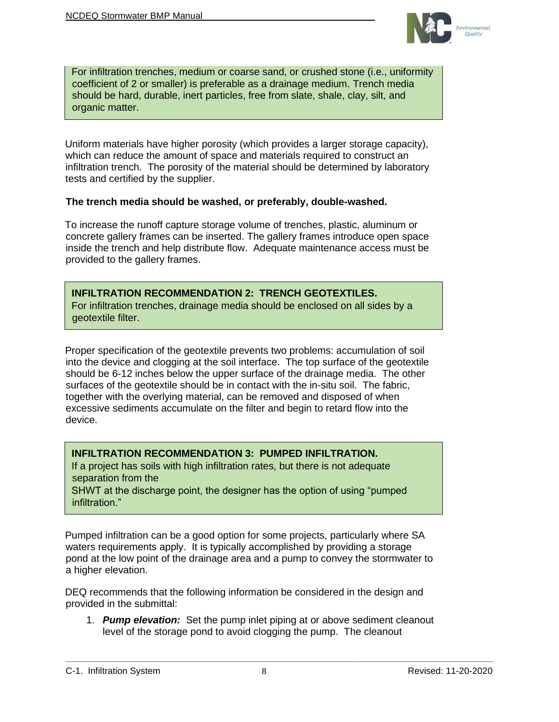

For infiltration trenches, medium or coarse sand, or crushed stone (i.e., uniformity coefficient of 2 or smaller) is preferable as a drainage medium. Trench media should be hard, durable, inert particles, free from slate, shale, clay, silt, and organic matter.

Uniform materials have higher porosity (which provides a larger storage capacity), which can reduce the amount of space and materials required to construct an infiltration trench. The porosity of the material should be determined by laboratory tests and certified by the supplier.

#### **The trench media should be washed, or preferably, double-washed.**

To increase the runoff capture storage volume of trenches, plastic, aluminum or concrete gallery frames can be inserted. The gallery frames introduce open space inside the trench and help distribute flow. Adequate maintenance access must be provided to the gallery frames.

#### <span id="page-7-0"></span>**INFILTRATION RECOMMENDATION 2: TRENCH GEOTEXTILES.** For infiltration trenches, drainage media should be enclosed on all sides by a

geotextile filter.

Proper specification of the geotextile prevents two problems: accumulation of soil into the device and clogging at the soil interface. The top surface of the geotextile should be 6-12 inches below the upper surface of the drainage media. The other surfaces of the geotextile should be in contact with the in-situ soil. The fabric, together with the overlying material, can be removed and disposed of when excessive sediments accumulate on the filter and begin to retard flow into the device.

#### <span id="page-7-1"></span>**INFILTRATION RECOMMENDATION 3: PUMPED INFILTRATION.**

If a project has soils with high infiltration rates, but there is not adequate separation from the

SHWT at the discharge point, the designer has the option of using "pumped infiltration."

Pumped infiltration can be a good option for some projects, particularly where SA waters requirements apply. It is typically accomplished by providing a storage pond at the low point of the drainage area and a pump to convey the stormwater to a higher elevation.

DEQ recommends that the following information be considered in the design and provided in the submittal:

1. *Pump elevation:* Set the pump inlet piping at or above sediment cleanout level of the storage pond to avoid clogging the pump. The cleanout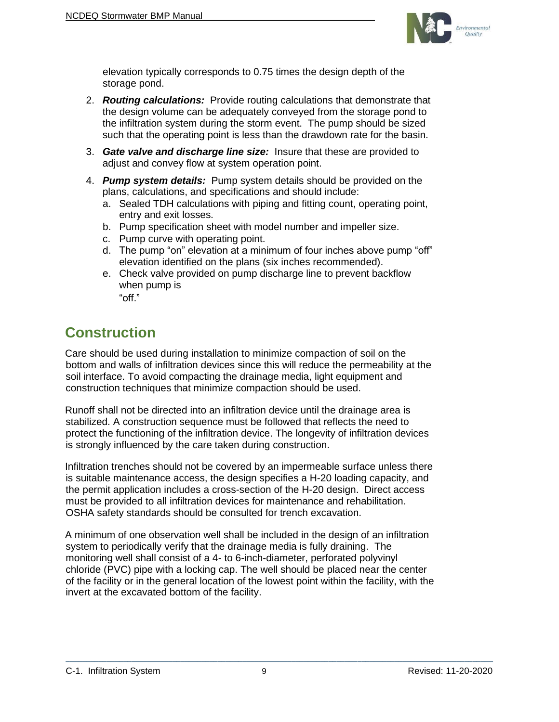

elevation typically corresponds to 0.75 times the design depth of the storage pond.

- 2. *Routing calculations:* Provide routing calculations that demonstrate that the design volume can be adequately conveyed from the storage pond to the infiltration system during the storm event. The pump should be sized such that the operating point is less than the drawdown rate for the basin.
- 3. *Gate valve and discharge line size:* Insure that these are provided to adjust and convey flow at system operation point.
- 4. *Pump system details:* Pump system details should be provided on the plans, calculations, and specifications and should include:
	- a. Sealed TDH calculations with piping and fitting count, operating point, entry and exit losses.
	- b. Pump specification sheet with model number and impeller size.
	- c. Pump curve with operating point.
	- d. The pump "on" elevation at a minimum of four inches above pump "off" elevation identified on the plans (six inches recommended).
	- e. Check valve provided on pump discharge line to prevent backflow when pump is

# "off."

# <span id="page-8-0"></span>**Construction**

Care should be used during installation to minimize compaction of soil on the bottom and walls of infiltration devices since this will reduce the permeability at the soil interface. To avoid compacting the drainage media, light equipment and construction techniques that minimize compaction should be used.

Runoff shall not be directed into an infiltration device until the drainage area is stabilized. A construction sequence must be followed that reflects the need to protect the functioning of the infiltration device. The longevity of infiltration devices is strongly influenced by the care taken during construction.

Infiltration trenches should not be covered by an impermeable surface unless there is suitable maintenance access, the design specifies a H-20 loading capacity, and the permit application includes a cross-section of the H-20 design. Direct access must be provided to all infiltration devices for maintenance and rehabilitation. OSHA safety standards should be consulted for trench excavation.

A minimum of one observation well shall be included in the design of an infiltration system to periodically verify that the drainage media is fully draining. The monitoring well shall consist of a 4- to 6-inch-diameter, perforated polyvinyl chloride (PVC) pipe with a locking cap. The well should be placed near the center of the facility or in the general location of the lowest point within the facility, with the invert at the excavated bottom of the facility.

#### C-1. Infiltration System  $\overline{9}$  9 Revised: 11-20-2020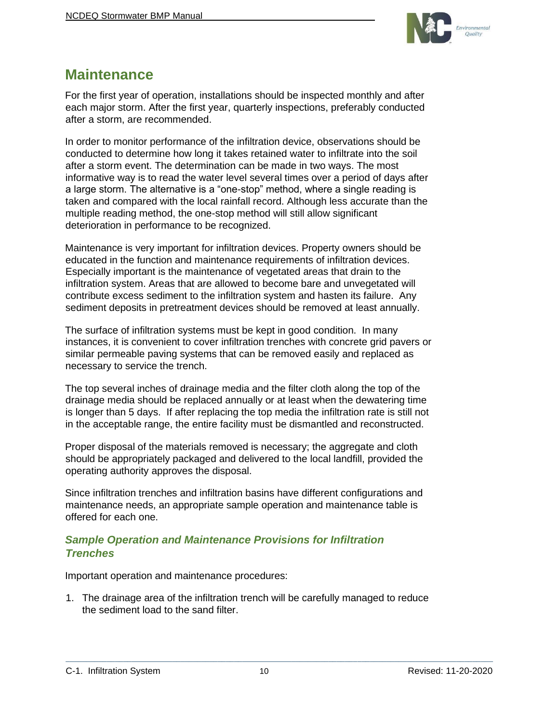

# <span id="page-9-0"></span>**Maintenance**

For the first year of operation, installations should be inspected monthly and after each major storm. After the first year, quarterly inspections, preferably conducted after a storm, are recommended.

In order to monitor performance of the infiltration device, observations should be conducted to determine how long it takes retained water to infiltrate into the soil after a storm event. The determination can be made in two ways. The most informative way is to read the water level several times over a period of days after a large storm. The alternative is a "one-stop" method, where a single reading is taken and compared with the local rainfall record. Although less accurate than the multiple reading method, the one-stop method will still allow significant deterioration in performance to be recognized.

Maintenance is very important for infiltration devices. Property owners should be educated in the function and maintenance requirements of infiltration devices. Especially important is the maintenance of vegetated areas that drain to the infiltration system. Areas that are allowed to become bare and unvegetated will contribute excess sediment to the infiltration system and hasten its failure. Any sediment deposits in pretreatment devices should be removed at least annually.

The surface of infiltration systems must be kept in good condition. In many instances, it is convenient to cover infiltration trenches with concrete grid pavers or similar permeable paving systems that can be removed easily and replaced as necessary to service the trench.

The top several inches of drainage media and the filter cloth along the top of the drainage media should be replaced annually or at least when the dewatering time is longer than 5 days. If after replacing the top media the infiltration rate is still not in the acceptable range, the entire facility must be dismantled and reconstructed.

Proper disposal of the materials removed is necessary; the aggregate and cloth should be appropriately packaged and delivered to the local landfill, provided the operating authority approves the disposal.

Since infiltration trenches and infiltration basins have different configurations and maintenance needs, an appropriate sample operation and maintenance table is offered for each one.

### <span id="page-9-1"></span>*Sample Operation and Maintenance Provisions for Infiltration Trenches*

Important operation and maintenance procedures:

1. The drainage area of the infiltration trench will be carefully managed to reduce the sediment load to the sand filter.

C-1. Infiltration System 10 Revised: 11-20-2020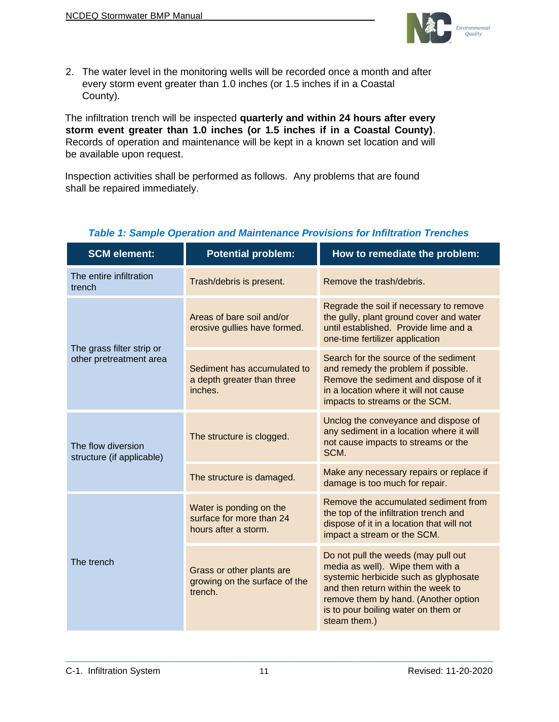

2. The water level in the monitoring wells will be recorded once a month and after every storm event greater than 1.0 inches (or 1.5 inches if in a Coastal County).

The infiltration trench will be inspected **quarterly and within 24 hours after every storm event greater than 1.0 inches (or 1.5 inches if in a Coastal County)**. Records of operation and maintenance will be kept in a known set location and will be available upon request.

Inspection activities shall be performed as follows. Any problems that are found shall be repaired immediately.

| <b>SCM element:</b>                                  | <b>Potential problem:</b>                                                   | How to remediate the problem:                                                                                                                                                                                                                         |
|------------------------------------------------------|-----------------------------------------------------------------------------|-------------------------------------------------------------------------------------------------------------------------------------------------------------------------------------------------------------------------------------------------------|
| The entire infiltration<br>trench                    | Trash/debris is present.                                                    | Remove the trash/debris.                                                                                                                                                                                                                              |
|                                                      | Areas of bare soil and/or<br>erosive gullies have formed.                   | Regrade the soil if necessary to remove<br>the gully, plant ground cover and water<br>until established. Provide lime and a<br>one-time fertilizer application                                                                                        |
| The grass filter strip or<br>other pretreatment area | Sediment has accumulated to<br>a depth greater than three<br>inches.        | Search for the source of the sediment<br>and remedy the problem if possible.<br>Remove the sediment and dispose of it<br>in a location where it will not cause<br>impacts to streams or the SCM.                                                      |
| The flow diversion<br>structure (if applicable)      | The structure is clogged.                                                   | Unclog the conveyance and dispose of<br>any sediment in a location where it will<br>not cause impacts to streams or the<br>SCM.                                                                                                                       |
|                                                      | The structure is damaged.                                                   | Make any necessary repairs or replace if<br>damage is too much for repair.                                                                                                                                                                            |
|                                                      | Water is ponding on the<br>surface for more than 24<br>hours after a storm. | Remove the accumulated sediment from<br>the top of the infiltration trench and<br>dispose of it in a location that will not<br>impact a stream or the SCM.                                                                                            |
| The trench                                           | Grass or other plants are<br>growing on the surface of the<br>trench.       | Do not pull the weeds (may pull out<br>media as well). Wipe them with a<br>systemic herbicide such as glyphosate<br>and then return within the week to<br>remove them by hand. (Another option<br>is to pour boiling water on them or<br>steam them.) |

### *Table 1: Sample Operation and Maintenance Provisions for Infiltration Trenches*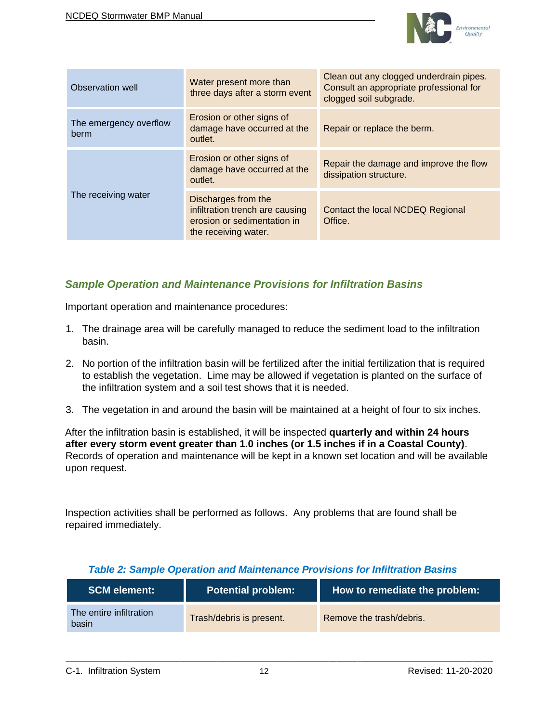

| Observation well               | Water present more than<br>three days after a storm event                                                     | Clean out any clogged underdrain pipes.<br>Consult an appropriate professional for<br>clogged soil subgrade. |
|--------------------------------|---------------------------------------------------------------------------------------------------------------|--------------------------------------------------------------------------------------------------------------|
| The emergency overflow<br>berm | Erosion or other signs of<br>damage have occurred at the<br>outlet.                                           | Repair or replace the berm.                                                                                  |
|                                | Erosion or other signs of<br>damage have occurred at the<br>outlet.                                           | Repair the damage and improve the flow<br>dissipation structure.                                             |
| The receiving water            | Discharges from the<br>infiltration trench are causing<br>erosion or sedimentation in<br>the receiving water. | Contact the local NCDEQ Regional<br>Office.                                                                  |

# <span id="page-11-0"></span>*Sample Operation and Maintenance Provisions for Infiltration Basins*

Important operation and maintenance procedures:

- 1. The drainage area will be carefully managed to reduce the sediment load to the infiltration basin.
- 2. No portion of the infiltration basin will be fertilized after the initial fertilization that is required to establish the vegetation. Lime may be allowed if vegetation is planted on the surface of the infiltration system and a soil test shows that it is needed.
- 3. The vegetation in and around the basin will be maintained at a height of four to six inches.

After the infiltration basin is established, it will be inspected **quarterly and within 24 hours after every storm event greater than 1.0 inches (or 1.5 inches if in a Coastal County)**. Records of operation and maintenance will be kept in a known set location and will be available upon request.

Inspection activities shall be performed as follows. Any problems that are found shall be repaired immediately.

| <b>SCM element:</b>              | <b>Potential problem:</b> | How to remediate the problem: |
|----------------------------------|---------------------------|-------------------------------|
| The entire infiltration<br>basin | Trash/debris is present.  | Remove the trash/debris.      |

 $\mathcal{L}_\mathcal{L} = \{ \mathcal{L}_\mathcal{L} = \{ \mathcal{L}_\mathcal{L} = \{ \mathcal{L}_\mathcal{L} = \{ \mathcal{L}_\mathcal{L} = \{ \mathcal{L}_\mathcal{L} = \{ \mathcal{L}_\mathcal{L} = \{ \mathcal{L}_\mathcal{L} = \{ \mathcal{L}_\mathcal{L} = \{ \mathcal{L}_\mathcal{L} = \{ \mathcal{L}_\mathcal{L} = \{ \mathcal{L}_\mathcal{L} = \{ \mathcal{L}_\mathcal{L} = \{ \mathcal{L}_\mathcal{L} = \{ \mathcal{L}_\mathcal{$ 

#### *Table 2: Sample Operation and Maintenance Provisions for Infiltration Basins*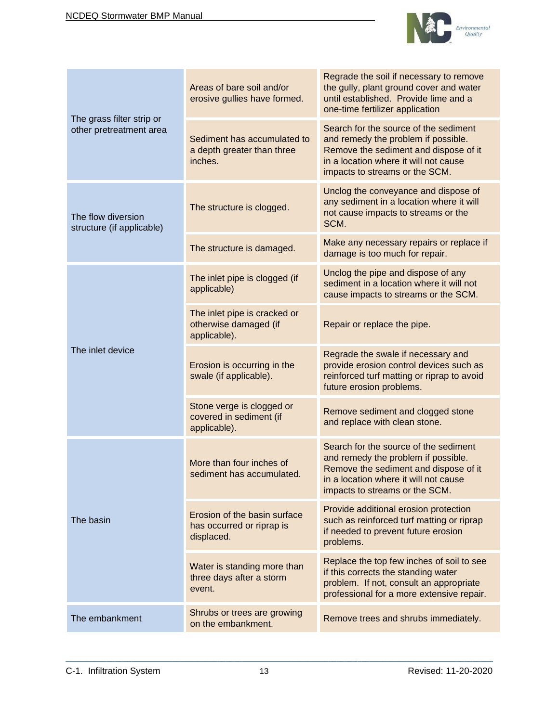

|                                                      | Areas of bare soil and/or<br>erosive gullies have formed.               | Regrade the soil if necessary to remove<br>the gully, plant ground cover and water<br>until established. Provide lime and a<br>one-time fertilizer application                                   |
|------------------------------------------------------|-------------------------------------------------------------------------|--------------------------------------------------------------------------------------------------------------------------------------------------------------------------------------------------|
| The grass filter strip or<br>other pretreatment area | Sediment has accumulated to<br>a depth greater than three<br>inches.    | Search for the source of the sediment<br>and remedy the problem if possible.<br>Remove the sediment and dispose of it<br>in a location where it will not cause<br>impacts to streams or the SCM. |
| The flow diversion<br>structure (if applicable)      | The structure is clogged.                                               | Unclog the conveyance and dispose of<br>any sediment in a location where it will<br>not cause impacts to streams or the<br>SCM.                                                                  |
|                                                      | The structure is damaged.                                               | Make any necessary repairs or replace if<br>damage is too much for repair.                                                                                                                       |
|                                                      | The inlet pipe is clogged (if<br>applicable)                            | Unclog the pipe and dispose of any<br>sediment in a location where it will not<br>cause impacts to streams or the SCM.                                                                           |
|                                                      | The inlet pipe is cracked or<br>otherwise damaged (if<br>applicable).   | Repair or replace the pipe.                                                                                                                                                                      |
| The inlet device                                     | Erosion is occurring in the<br>swale (if applicable).                   | Regrade the swale if necessary and<br>provide erosion control devices such as<br>reinforced turf matting or riprap to avoid<br>future erosion problems.                                          |
|                                                      | Stone verge is clogged or<br>covered in sediment (if<br>applicable).    | Remove sediment and clogged stone<br>and replace with clean stone.                                                                                                                               |
|                                                      | More than four inches of<br>sediment has accumulated.                   | Search for the source of the sediment<br>and remedy the problem if possible.<br>Remove the sediment and dispose of it<br>in a location where it will not cause<br>impacts to streams or the SCM. |
| The basin                                            | Erosion of the basin surface<br>has occurred or riprap is<br>displaced. | Provide additional erosion protection<br>such as reinforced turf matting or riprap<br>if needed to prevent future erosion<br>problems.                                                           |
|                                                      | Water is standing more than<br>three days after a storm<br>event.       | Replace the top few inches of soil to see<br>if this corrects the standing water<br>problem. If not, consult an appropriate<br>professional for a more extensive repair.                         |
| The embankment                                       | Shrubs or trees are growing<br>on the embankment.                       | Remove trees and shrubs immediately.                                                                                                                                                             |